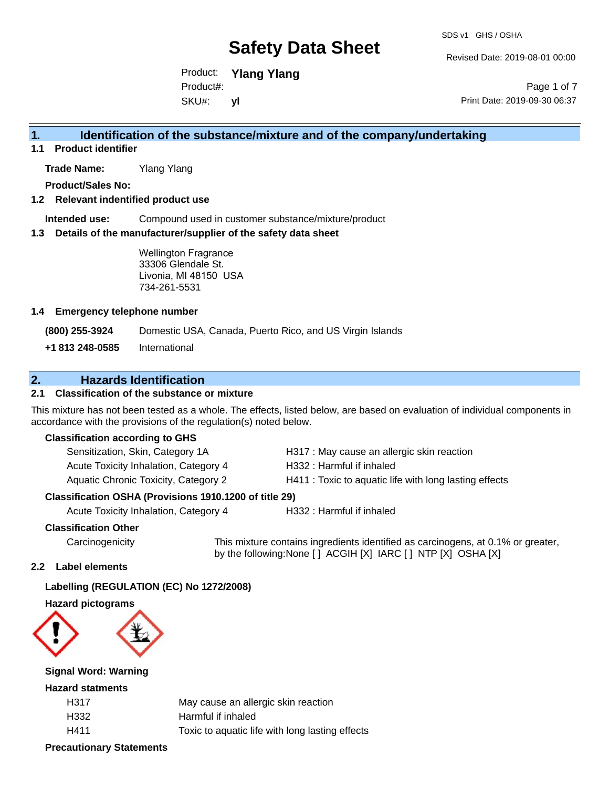Revised Date: 2019-08-01 00:00

Product: **Ylang Ylang** SKU#: Product#: **yl**

Page 1 of 7 Print Date: 2019-09-30 06:37

# **1. Identification of the substance/mixture and of the company/undertaking**

**1.1 Product identifier**

**Trade Name:** Ylang Ylang

**Product/Sales No:**

#### **1.2 Relevant indentified product use**

**Intended use:** Compound used in customer substance/mixture/product

#### **1.3 Details of the manufacturer/supplier of the safety data sheet**

Wellington Fragrance 33306 Glendale St. Livonia, MI 48150 USA 734-261-5531

#### **1.4 Emergency telephone number**

**(800) 255-3924** Domestic USA, Canada, Puerto Rico, and US Virgin Islands

**+1 813 248-0585** International

## **2. Hazards Identification**

#### **2.1 Classification of the substance or mixture**

This mixture has not been tested as a whole. The effects, listed below, are based on evaluation of individual components in accordance with the provisions of the regulation(s) noted below.

#### **Classification according to GHS**

| Sensitization, Skin, Category 1A            | H317 : May cause an allergic skin reaction             |
|---------------------------------------------|--------------------------------------------------------|
| Acute Toxicity Inhalation, Category 4       | H332 : Harmful if inhaled                              |
| <b>Aquatic Chronic Toxicity, Category 2</b> | H411 : Toxic to aquatic life with long lasting effects |

#### **Classification OSHA (Provisions 1910.1200 of title 29)**

Acute Toxicity Inhalation, Category 4 H332 : Harmful if inhaled

#### **Classification Other**

Carcinogenicity This mixture contains ingredients identified as carcinogens, at 0.1% or greater, by the following:None [ ] ACGIH [X] IARC [ ] NTP [X] OSHA [X]

#### **2.2 Label elements**

#### **Labelling (REGULATION (EC) No 1272/2008)**

#### **Hazard pictograms**



#### **Signal Word: Warning**

#### **Hazard statments**

| H317 | May cause an allergic skin reaction             |
|------|-------------------------------------------------|
| H332 | Harmful if inhaled                              |
| H411 | Toxic to aquatic life with long lasting effects |

#### **Precautionary Statements**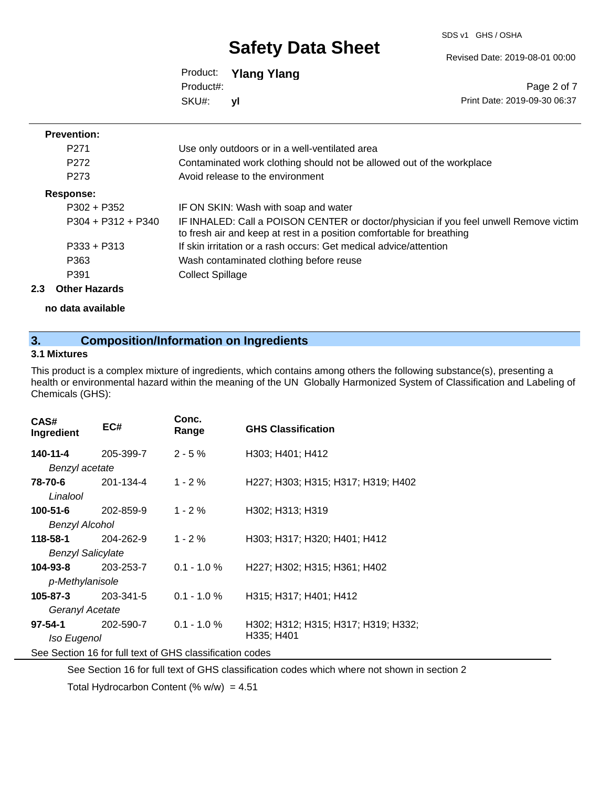SDS v1 GHS / OSHA

Revised Date: 2019-08-01 00:00

|           | Product: Ylang Ylang |
|-----------|----------------------|
| Product#: |                      |
| SKU#:     | vl                   |

Page 2 of 7 Print Date: 2019-09-30 06:37

#### **Prevention:**

| P <sub>271</sub>     | Use only outdoors or in a well-ventilated area                                                                                                                 |
|----------------------|----------------------------------------------------------------------------------------------------------------------------------------------------------------|
| P <sub>272</sub>     | Contaminated work clothing should not be allowed out of the workplace                                                                                          |
| P <sub>273</sub>     | Avoid release to the environment                                                                                                                               |
| Response:            |                                                                                                                                                                |
| $P302 + P352$        | IF ON SKIN: Wash with soap and water                                                                                                                           |
| $P304 + P312 + P340$ | IF INHALED: Call a POISON CENTER or doctor/physician if you feel unwell Remove victim<br>to fresh air and keep at rest in a position comfortable for breathing |
| $P333 + P313$        | If skin irritation or a rash occurs: Get medical advice/attention                                                                                              |
| P363                 | Wash contaminated clothing before reuse                                                                                                                        |
| P391                 | <b>Collect Spillage</b>                                                                                                                                        |
|                      |                                                                                                                                                                |

#### **2.3 Other Hazards**

**no data available**

# **3. Composition/Information on Ingredients**

#### **3.1 Mixtures**

This product is a complex mixture of ingredients, which contains among others the following substance(s), presenting a health or environmental hazard within the meaning of the UN Globally Harmonized System of Classification and Labeling of Chemicals (GHS):

| CAS#<br>Ingredient                                       | EC#       | Conc.<br>Range | <b>GHS Classification</b>           |
|----------------------------------------------------------|-----------|----------------|-------------------------------------|
| 140-11-4                                                 | 205-399-7 | $2 - 5%$       | H303; H401; H412                    |
| Benzyl acetate                                           |           |                |                                     |
| 78-70-6                                                  | 201-134-4 | $1 - 2%$       | H227; H303; H315; H317; H319; H402  |
| Linalool                                                 |           |                |                                     |
| $100 - 51 - 6$                                           | 202-859-9 | $1 - 2%$       | H302; H313; H319                    |
| <b>Benzyl Alcohol</b>                                    |           |                |                                     |
| 118-58-1                                                 | 204-262-9 | $1 - 2%$       | H303; H317; H320; H401; H412        |
| <b>Benzyl Salicylate</b>                                 |           |                |                                     |
| 104-93-8                                                 | 203-253-7 | $0.1 - 1.0 \%$ | H227; H302; H315; H361; H402        |
| p-Methylanisole                                          |           |                |                                     |
| $105 - 87 - 3$                                           | 203-341-5 | $0.1 - 1.0 %$  | H315; H317; H401; H412              |
| Geranyl Acetate                                          |           |                |                                     |
| $97 - 54 - 1$                                            | 202-590-7 | $0.1 - 1.0 %$  | H302; H312; H315; H317; H319; H332; |
| Iso Eugenol                                              |           |                | H335; H401                          |
| See Section 16 for full text of GHS classification codes |           |                |                                     |

See Section 16 for full text of GHS classification codes which where not shown in section 2

Total Hydrocarbon Content (%  $w/w$ ) = 4.51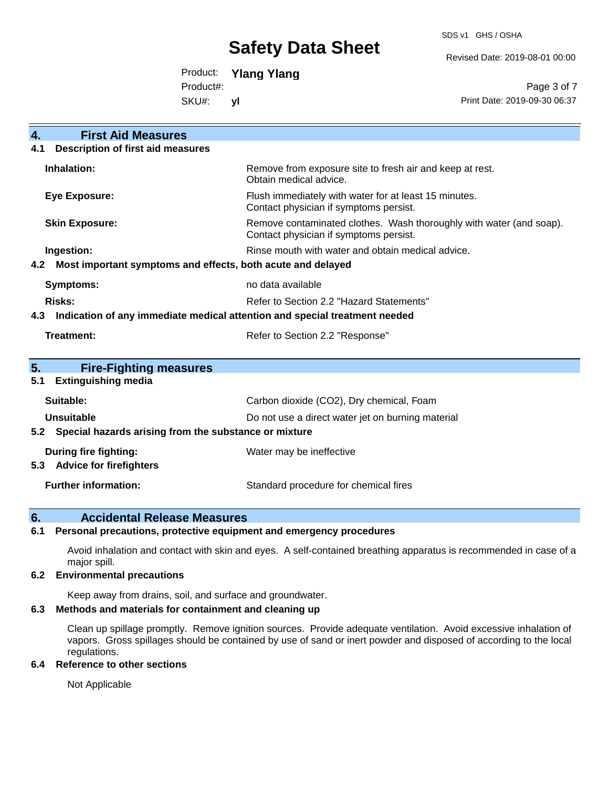SDS v1 GHS / OSHA

Revised Date: 2019-08-01 00:00

Product: **Ylang Ylang**

Product#:

SKU#: **yl**

Page 3 of 7 Print Date: 2019-09-30 06:37

| $\overline{4}$ .<br><b>First Aid Measures</b>                                     |                                                                                                               |  |  |  |
|-----------------------------------------------------------------------------------|---------------------------------------------------------------------------------------------------------------|--|--|--|
| <b>Description of first aid measures</b><br>4.1                                   |                                                                                                               |  |  |  |
| Inhalation:                                                                       | Remove from exposure site to fresh air and keep at rest.<br>Obtain medical advice.                            |  |  |  |
| <b>Eye Exposure:</b>                                                              | Flush immediately with water for at least 15 minutes.<br>Contact physician if symptoms persist.               |  |  |  |
| <b>Skin Exposure:</b>                                                             | Remove contaminated clothes. Wash thoroughly with water (and soap).<br>Contact physician if symptoms persist. |  |  |  |
| Ingestion:                                                                        | Rinse mouth with water and obtain medical advice.                                                             |  |  |  |
| Most important symptoms and effects, both acute and delayed<br>4.2                |                                                                                                               |  |  |  |
| Symptoms:                                                                         | no data available                                                                                             |  |  |  |
| <b>Risks:</b><br>Refer to Section 2.2 "Hazard Statements"                         |                                                                                                               |  |  |  |
| Indication of any immediate medical attention and special treatment needed<br>4.3 |                                                                                                               |  |  |  |
| <b>Treatment:</b><br>Refer to Section 2.2 "Response"                              |                                                                                                               |  |  |  |
|                                                                                   |                                                                                                               |  |  |  |
| 5.<br><b>Fire-Fighting measures</b>                                               |                                                                                                               |  |  |  |
| <b>Extinguishing media</b><br>5.1                                                 |                                                                                                               |  |  |  |
| Suitable:                                                                         | Carbon dioxide (CO2), Dry chemical, Foam                                                                      |  |  |  |
| Unsuitable                                                                        | Do not use a direct water jet on burning material                                                             |  |  |  |
| Special hazards arising from the substance or mixture<br>5.2                      |                                                                                                               |  |  |  |
| During fire fighting:                                                             | Water may be ineffective                                                                                      |  |  |  |
| <b>Advice for firefighters</b><br>5.3                                             |                                                                                                               |  |  |  |
| <b>Further information:</b>                                                       | Standard procedure for chemical fires                                                                         |  |  |  |

### **6. Accidental Release Measures**

#### **6.1 Personal precautions, protective equipment and emergency procedures**

Avoid inhalation and contact with skin and eyes. A self-contained breathing apparatus is recommended in case of a major spill.

#### **6.2 Environmental precautions**

Keep away from drains, soil, and surface and groundwater.

#### **6.3 Methods and materials for containment and cleaning up**

Clean up spillage promptly. Remove ignition sources. Provide adequate ventilation. Avoid excessive inhalation of vapors. Gross spillages should be contained by use of sand or inert powder and disposed of according to the local regulations.

#### **6.4 Reference to other sections**

Not Applicable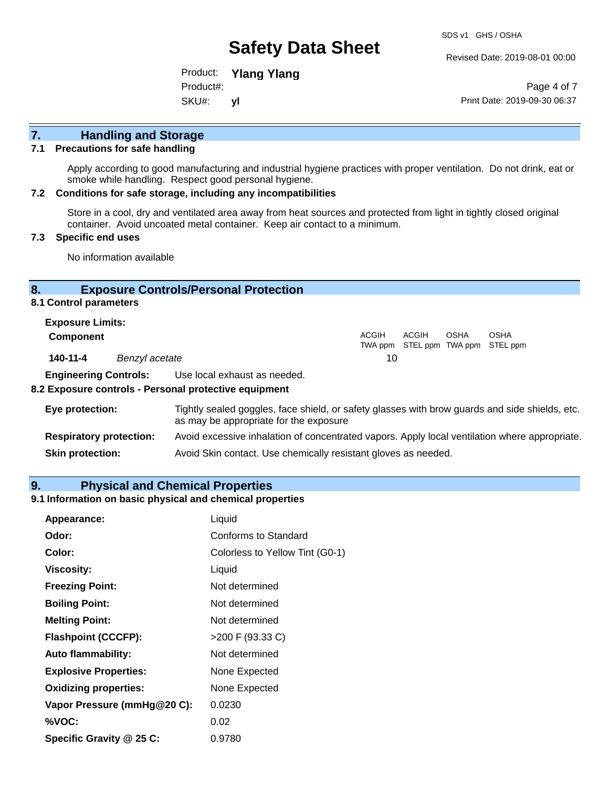Revised Date: 2019-08-01 00:00

Product: **Ylang Ylang** SKU#: Product#: **yl**

Page 4 of 7 Print Date: 2019-09-30 06:37

# **7. Handling and Storage**

#### **7.1 Precautions for safe handling**

Apply according to good manufacturing and industrial hygiene practices with proper ventilation. Do not drink, eat or smoke while handling. Respect good personal hygiene.

#### **7.2 Conditions for safe storage, including any incompatibilities**

Store in a cool, dry and ventilated area away from heat sources and protected from light in tightly closed original container. Avoid uncoated metal container. Keep air contact to a minimum.

#### **7.3 Specific end uses**

No information available

#### **8. Exposure Controls/Personal Protection**

#### **8.1 Control parameters**

| <b>Exposure Limits:</b> |                |       |       |             |                                                  |
|-------------------------|----------------|-------|-------|-------------|--------------------------------------------------|
| <b>Component</b>        |                | ACGIH | ACGIH | <b>OSHA</b> | <b>OSHA</b><br>TWA ppm STEL ppm TWA ppm STEL ppm |
| 140-11-4                | Benzyl acetate | 10    |       |             |                                                  |

**Engineering Controls:** Use local exhaust as needed.

#### **8.2 Exposure controls - Personal protective equipment**

| Eye protection:                | Tightly sealed goggles, face shield, or safety glasses with brow guards and side shields, etc.<br>as may be appropriate for the exposure |  |
|--------------------------------|------------------------------------------------------------------------------------------------------------------------------------------|--|
| <b>Respiratory protection:</b> | Avoid excessive inhalation of concentrated vapors. Apply local ventilation where appropriate.                                            |  |
| <b>Skin protection:</b>        | Avoid Skin contact. Use chemically resistant gloves as needed.                                                                           |  |

#### **9. Physical and Chemical Properties**

### **9.1 Information on basic physical and chemical properties**

| Appearance:                  | Liquid                          |
|------------------------------|---------------------------------|
| Odor:                        | <b>Conforms to Standard</b>     |
| Color:                       | Colorless to Yellow Tint (G0-1) |
| <b>Viscosity:</b>            | Liquid                          |
| <b>Freezing Point:</b>       | Not determined                  |
| <b>Boiling Point:</b>        | Not determined                  |
| <b>Melting Point:</b>        | Not determined                  |
| <b>Flashpoint (CCCFP):</b>   | >200 F (93.33 C)                |
| <b>Auto flammability:</b>    | Not determined                  |
| <b>Explosive Properties:</b> | None Expected                   |
| <b>Oxidizing properties:</b> | None Expected                   |
| Vapor Pressure (mmHg@20 C):  | 0.0230                          |
| %VOC:                        | 0.02                            |
| Specific Gravity @ 25 C:     | 0.9780                          |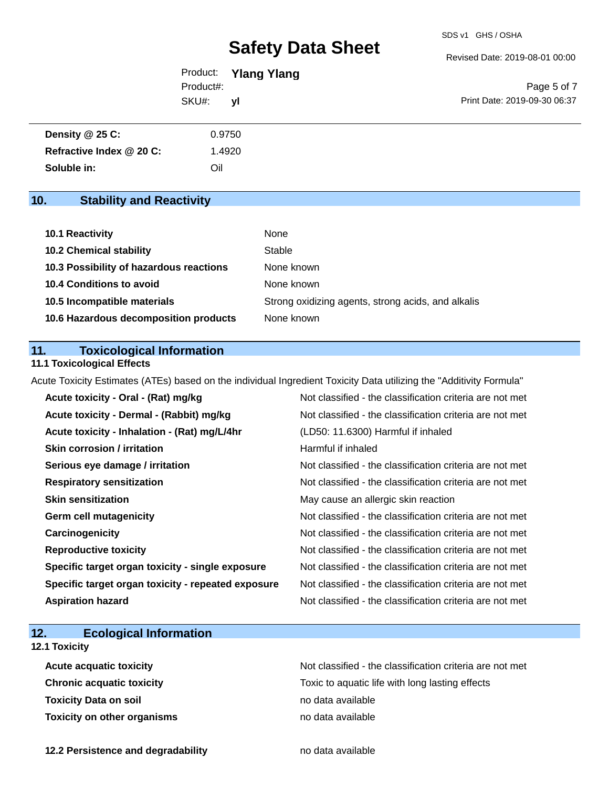Revised Date: 2019-08-01 00:00

|           | Product: Ylang Ylang |                              |
|-----------|----------------------|------------------------------|
| Product#: |                      | Page 5 of 7                  |
| SKU#:     | <b>VI</b>            | Print Date: 2019-09-30 06:37 |

| Density @ 25 C:          | 0.9750 |
|--------------------------|--------|
| Refractive Index @ 20 C: | .4920  |
| Soluble in:              | Oil    |

# **10. Stability and Reactivity**

| 10.1 Reactivity                         | None                                               |
|-----------------------------------------|----------------------------------------------------|
| <b>10.2 Chemical stability</b>          | Stable                                             |
| 10.3 Possibility of hazardous reactions | None known                                         |
| <b>10.4 Conditions to avoid</b>         | None known                                         |
| 10.5 Incompatible materials             | Strong oxidizing agents, strong acids, and alkalis |
| 10.6 Hazardous decomposition products   | None known                                         |

### **11. Toxicological Information**

### **11.1 Toxicological Effects**

Acute Toxicity Estimates (ATEs) based on the individual Ingredient Toxicity Data utilizing the "Additivity Formula"

| Acute toxicity - Oral - (Rat) mg/kg                | Not classified - the classification criteria are not met |
|----------------------------------------------------|----------------------------------------------------------|
| Acute toxicity - Dermal - (Rabbit) mg/kg           | Not classified - the classification criteria are not met |
| Acute toxicity - Inhalation - (Rat) mg/L/4hr       | (LD50: 11.6300) Harmful if inhaled                       |
| <b>Skin corrosion / irritation</b>                 | Harmful if inhaled                                       |
| Serious eye damage / irritation                    | Not classified - the classification criteria are not met |
| <b>Respiratory sensitization</b>                   | Not classified - the classification criteria are not met |
| <b>Skin sensitization</b>                          | May cause an allergic skin reaction                      |
| <b>Germ cell mutagenicity</b>                      | Not classified - the classification criteria are not met |
| Carcinogenicity                                    | Not classified - the classification criteria are not met |
| <b>Reproductive toxicity</b>                       | Not classified - the classification criteria are not met |
| Specific target organ toxicity - single exposure   | Not classified - the classification criteria are not met |
| Specific target organ toxicity - repeated exposure | Not classified - the classification criteria are not met |
| <b>Aspiration hazard</b>                           | Not classified - the classification criteria are not met |

# **12. Ecological Information**

## **12.1 Toxicity**

| <b>Acute acquatic toxicity</b>     | Not classified - the classification criteria are not met |
|------------------------------------|----------------------------------------------------------|
| <b>Chronic acquatic toxicity</b>   | Toxic to aquatic life with long lasting effects          |
| <b>Toxicity Data on soil</b>       | no data available                                        |
| <b>Toxicity on other organisms</b> | no data available                                        |

**12.2 Persistence and degradability no data available**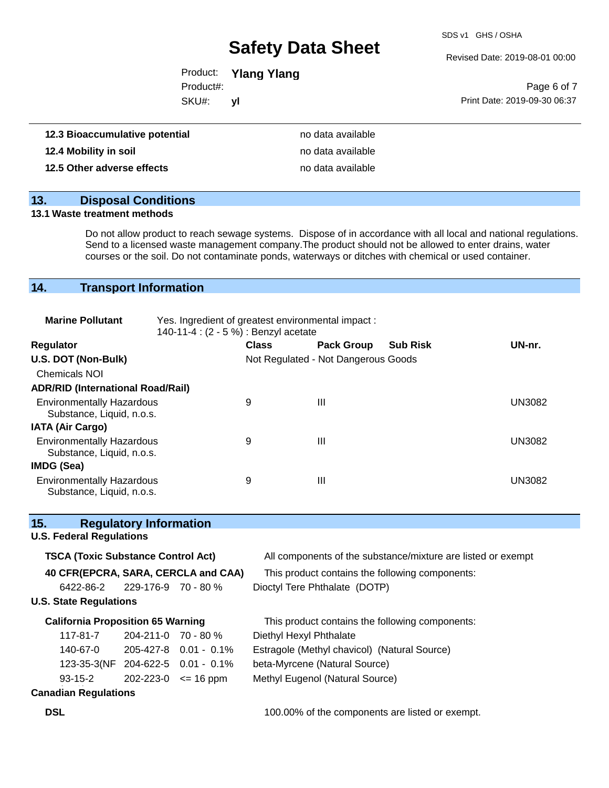SDS v1 GHS / OSHA

Revised Date: 2019-08-01 00:00

|                 | Product: Ylang Ylang |                              |
|-----------------|----------------------|------------------------------|
| Product#:       |                      | Page 6 of 7                  |
| SKU#:           | vl                   | Print Date: 2019-09-30 06:37 |
| ıtive potential | no data available    |                              |

| 12.3 Bioaccumulative potential | no data available |
|--------------------------------|-------------------|
| 12.4 Mobility in soil          | no data available |
| 12.5 Other adverse effects     | no data available |

### **13. Disposal Conditions**

#### **13.1 Waste treatment methods**

Do not allow product to reach sewage systems. Dispose of in accordance with all local and national regulations. Send to a licensed waste management company.The product should not be allowed to enter drains, water courses or the soil. Do not contaminate ponds, waterways or ditches with chemical or used container.

# **14. Transport Information**

| <b>Marine Pollutant</b>                                       | Yes. Ingredient of greatest environmental impact:<br>140-11-4 : (2 - 5 %) : Benzyl acetate |              |                                     |                 |               |
|---------------------------------------------------------------|--------------------------------------------------------------------------------------------|--------------|-------------------------------------|-----------------|---------------|
| <b>Regulator</b>                                              |                                                                                            | <b>Class</b> | <b>Pack Group</b>                   | <b>Sub Risk</b> | UN-nr.        |
| U.S. DOT (Non-Bulk)                                           |                                                                                            |              | Not Regulated - Not Dangerous Goods |                 |               |
| <b>Chemicals NOI</b>                                          |                                                                                            |              |                                     |                 |               |
| <b>ADR/RID (International Road/Rail)</b>                      |                                                                                            |              |                                     |                 |               |
| <b>Environmentally Hazardous</b><br>Substance, Liquid, n.o.s. |                                                                                            | 9            | Ш                                   |                 | <b>UN3082</b> |
| <b>IATA (Air Cargo)</b>                                       |                                                                                            |              |                                     |                 |               |
| <b>Environmentally Hazardous</b><br>Substance, Liquid, n.o.s. |                                                                                            | 9            | Ш                                   |                 | <b>UN3082</b> |
| IMDG (Sea)                                                    |                                                                                            |              |                                     |                 |               |
| <b>Environmentally Hazardous</b><br>Substance, Liquid, n.o.s. |                                                                                            | 9            | Ш                                   |                 | UN3082        |

### **15. Regulatory Information**

#### **U.S. Federal Regulations**

| <b>TSCA (Toxic Substance Control Act)</b> |                           |                                   | All components of the substance/mixture are listed or exempt |
|-------------------------------------------|---------------------------|-----------------------------------|--------------------------------------------------------------|
| 40 CFR(EPCRA, SARA, CERCLA and CAA)       |                           |                                   | This product contains the following components:              |
| 6422-86-2                                 | 229-176-9 70 - 80 %       |                                   | Dioctyl Tere Phthalate (DOTP)                                |
| <b>U.S. State Regulations</b>             |                           |                                   |                                                              |
| <b>California Proposition 65 Warning</b>  |                           |                                   | This product contains the following components:              |
| 117-81-7                                  | $204 - 211 - 0$ 70 - 80 % |                                   | Diethyl Hexyl Phthalate                                      |
| 140-67-0                                  |                           | $205-427-8$ 0.01 - 0.1%           | Estragole (Methyl chavicol) (Natural Source)                 |
|                                           |                           | 123-35-3(NF 204-622-5 0.01 - 0.1% | beta-Myrcene (Natural Source)                                |
| $93 - 15 - 2$                             |                           | $202 - 223 - 0 \leq 16$ ppm       | Methyl Eugenol (Natural Source)                              |

**DSL DSL** 100.00% of the components are listed or exempt.